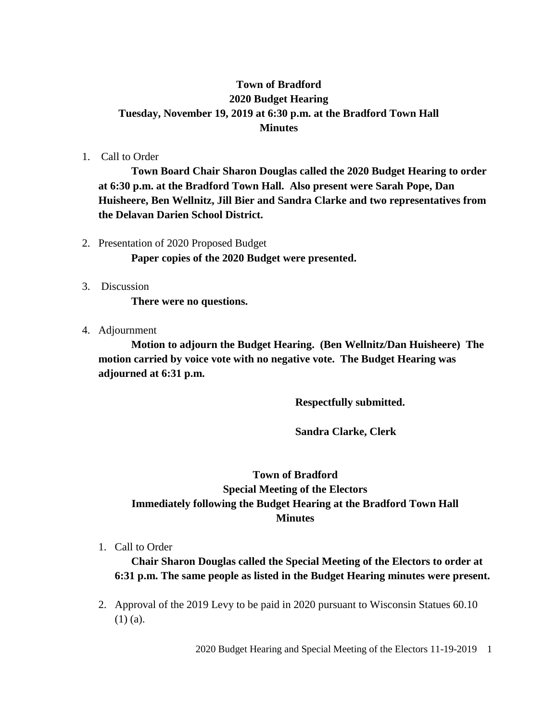## **Town of Bradford 2020 Budget Hearing Tuesday, November 19, 2019 at 6:30 p.m. at the Bradford Town Hall Minutes**

1. Call to Order

**Town Board Chair Sharon Douglas called the 2020 Budget Hearing to order at 6:30 p.m. at the Bradford Town Hall. Also present were Sarah Pope, Dan Huisheere, Ben Wellnitz, Jill Bier and Sandra Clarke and two representatives from the Delavan Darien School District.**

- 2. Presentation of 2020 Proposed Budget **Paper copies of the 2020 Budget were presented.**
- 3. Discussion

**There were no questions.**

4. Adjournment

**Motion to adjourn the Budget Hearing. (Ben Wellnitz/Dan Huisheere) The motion carried by voice vote with no negative vote. The Budget Hearing was adjourned at 6:31 p.m.**

**Respectfully submitted.**

**Sandra Clarke, Clerk**

## **Town of Bradford Special Meeting of the Electors Immediately following the Budget Hearing at the Bradford Town Hall Minutes**

1. Call to Order

**Chair Sharon Douglas called the Special Meeting of the Electors to order at 6:31 p.m. The same people as listed in the Budget Hearing minutes were present.**

2. Approval of the 2019 Levy to be paid in 2020 pursuant to Wisconsin Statues 60.10 (1) (a).

2020 Budget Hearing and Special Meeting of the Electors 11-19-2019 1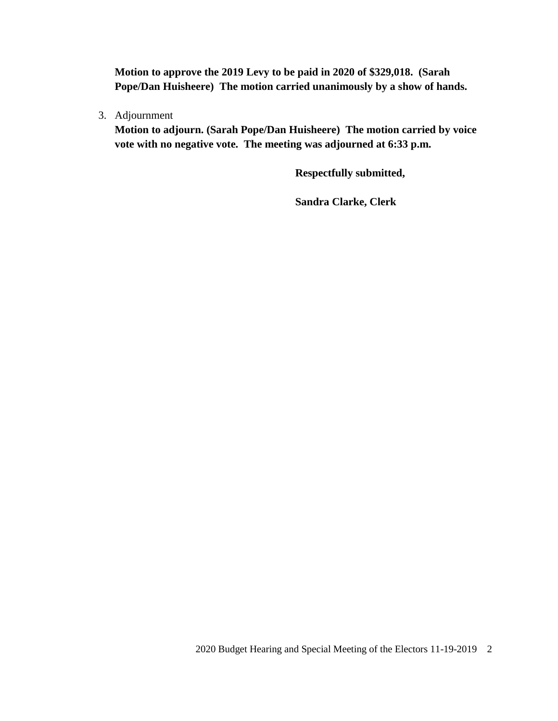**Motion to approve the 2019 Levy to be paid in 2020 of \$329,018. (Sarah Pope/Dan Huisheere) The motion carried unanimously by a show of hands.**

3. Adjournment

**Motion to adjourn. (Sarah Pope/Dan Huisheere) The motion carried by voice vote with no negative vote. The meeting was adjourned at 6:33 p.m.**

**Respectfully submitted,**

**Sandra Clarke, Clerk**